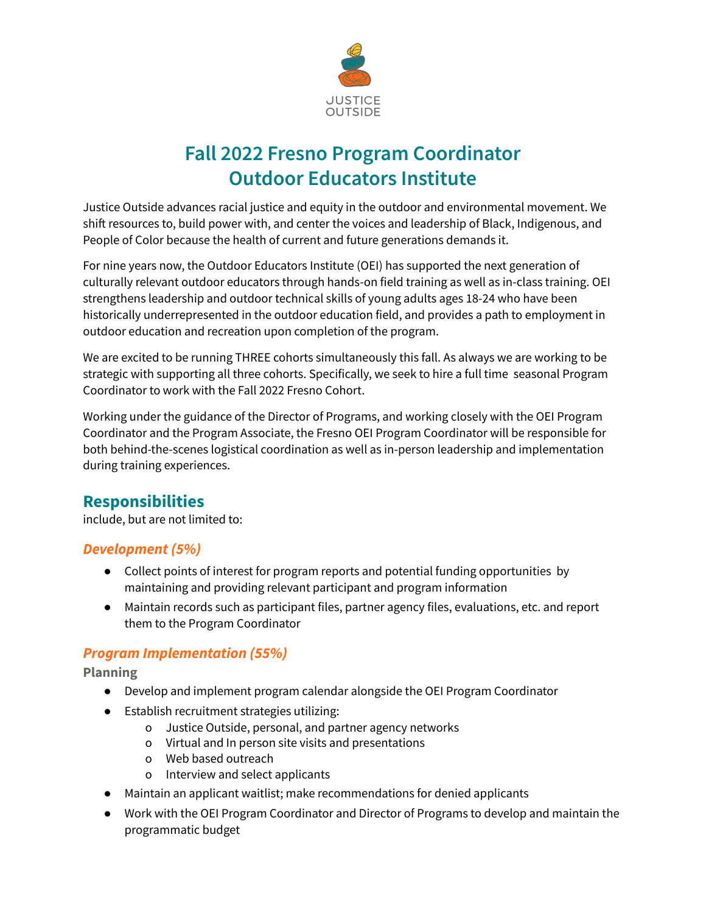

# **Fall 2022 Fresno Program Coordinator Outdoor Educators Institute**

Justice Outside advances racial justice and equity in the outdoor and environmental movement. We shift resources to, build power with, and center the voices and leadership of Black, Indigenous, and People of Color because the health of current and future generations demands it.

For nine years now, the Outdoor Educators Institute (OEI) has supported the next generation of culturally relevant outdoor educators through hands-on field training as well as in-class training. OEI strengthens leadership and outdoor technical skills of young adults ages 18-24 who have been historically underrepresented in the outdoor education field, and provides a path to employment in outdoor education and recreation upon completion of the program.

We are excited to be running THREE cohorts simultaneously this fall. As always we are working to be strategic with supporting all three cohorts. Specifically, we seek to hire a full time seasonal Program Coordinator to work with the Fall 2022 Fresno Cohort.

Working under the guidance of the Director of Programs, and working closely with the OEI Program Coordinator and the Program Associate, the Fresno OEI Program Coordinator will be responsible for both behind-the-scenes logistical coordination as well as in-person leadership and implementation during training experiences.

## **Responsibilities**

include, but are not limited to:

### *Development (5%)*

- Collect points of interest for program reports and potential funding opportunities by maintaining and providing relevant participant and program information
- Maintain records such as participant files, partner agency files, evaluations, etc. and report them to the Program Coordinator

### *Program Implementation (55%)*

**Planning**

- Develop and implement program calendar alongside the OEI Program Coordinator
- Establish recruitment strategies utilizing:
	- o Justice Outside, personal, and partner agency networks
	- o Virtual and In person site visits and presentations
	- o Web based outreach
	- o Interview and select applicants
- Maintain an applicant waitlist; make recommendations for denied applicants
- Work with the OEI Program Coordinator and Director of Programs to develop and maintain the programmatic budget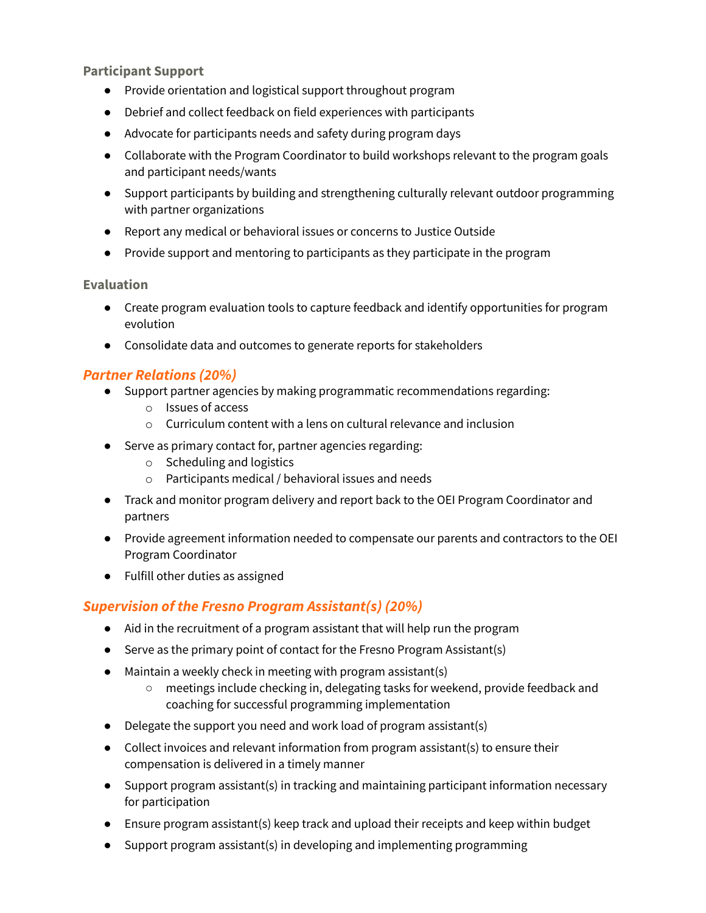**Participant Support**

- Provide orientation and logistical support throughout program
- Debrief and collect feedback on field experiences with participants
- Advocate for participants needs and safety during program days
- Collaborate with the Program Coordinator to build workshops relevant to the program goals and participant needs/wants
- Support participants by building and strengthening culturally relevant outdoor programming with partner organizations
- Report any medical or behavioral issues or concerns to Justice Outside
- Provide support and mentoring to participants as they participate in the program

#### **Evaluation**

- Create program evaluation tools to capture feedback and identify opportunities for program evolution
- Consolidate data and outcomes to generate reports for stakeholders

#### *Partner Relations (20%)*

- Support partner agencies by making programmatic recommendations regarding:
	- o Issues of access
	- o Curriculum content with a lens on cultural relevance and inclusion
- Serve as primary contact for, partner agencies regarding:
	- o Scheduling and logistics
	- o Participants medical / behavioral issues and needs
- Track and monitor program delivery and report back to the OEI Program Coordinator and partners
- Provide agreement information needed to compensate our parents and contractors to the OEI Program Coordinator
- Fulfill other duties as assigned

#### *Supervision of the Fresno Program Assistant(s) (20%)*

- Aid in the recruitment of a program assistant that will help run the program
- Serve as the primary point of contact for the Fresno Program Assistant(s)
- $\bullet$  Maintain a weekly check in meeting with program assistant(s)
	- meetings include checking in, delegating tasks for weekend, provide feedback and coaching for successful programming implementation
- Delegate the support you need and work load of program assistant(s)
- $\bullet$  Collect invoices and relevant information from program assistant(s) to ensure their compensation is delivered in a timely manner
- Support program assistant(s) in tracking and maintaining participant information necessary for participation
- Ensure program assistant(s) keep track and upload their receipts and keep within budget
- Support program assistant(s) in developing and implementing programming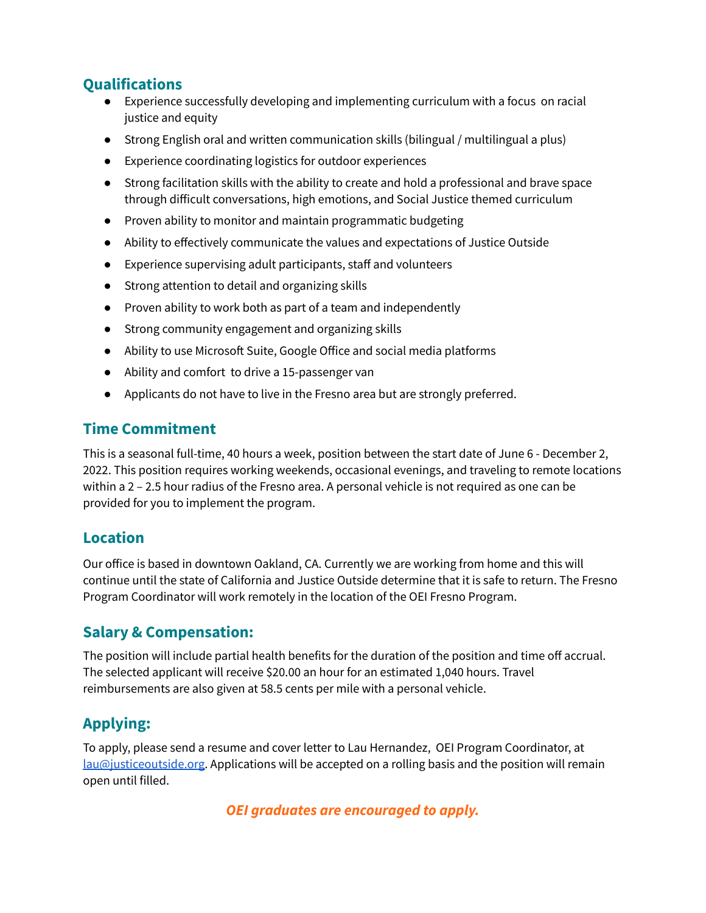## **Qualifications**

- Experience successfully developing and implementing curriculum with a focus on racial justice and equity
- Strong English oral and written communication skills (bilingual / multilingual a plus)
- Experience coordinating logistics for outdoor experiences
- Strong facilitation skills with the ability to create and hold a professional and brave space through difficult conversations, high emotions, and Social Justice themed curriculum
- Proven ability to monitor and maintain programmatic budgeting
- Ability to effectively communicate the values and expectations of Justice Outside
- Experience supervising adult participants, staff and volunteers
- Strong attention to detail and organizing skills
- Proven ability to work both as part of a team and independently
- Strong community engagement and organizing skills
- Ability to use Microsoft Suite, Google Office and social media platforms
- Ability and comfort to drive a 15-passenger van
- Applicants do not have to live in the Fresno area but are strongly preferred.

## **Time Commitment**

This is a seasonal full-time, 40 hours a week, position between the start date of June 6 - December 2, 2022. This position requires working weekends, occasional evenings, and traveling to remote locations within a 2 – 2.5 hour radius of the Fresno area. A personal vehicle is not required as one can be provided for you to implement the program.

## **Location**

Our office is based in downtown Oakland, CA. Currently we are working from home and this will continue until the state of California and Justice Outside determine that it is safe to return. The Fresno Program Coordinator will work remotely in the location of the OEI Fresno Program.

## **Salary & Compensation:**

The position will include partial health benefits for the duration of the position and time off accrual. The selected applicant will receive \$20.00 an hour for an estimated 1,040 hours. Travel reimbursements are also given at 58.5 cents per mile with a personal vehicle.

## **Applying:**

To apply, please send a resume and cover letter to Lau Hernandez, OEI Program Coordinator, at [lau@justiceoutside.org.](mailto:lau@justiceoutside.org) Applications will be accepted on a rolling basis and the position will remain open until filled.

*OEI graduates are encouraged to apply.*